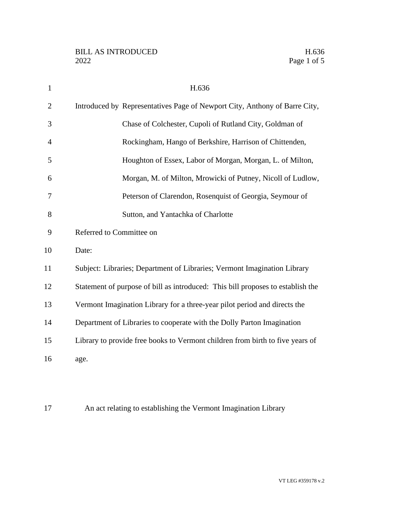| $\mathbf{1}$   | H.636                                                                           |
|----------------|---------------------------------------------------------------------------------|
| $\overline{2}$ | Introduced by Representatives Page of Newport City, Anthony of Barre City,      |
| 3              | Chase of Colchester, Cupoli of Rutland City, Goldman of                         |
| 4              | Rockingham, Hango of Berkshire, Harrison of Chittenden,                         |
| 5              | Houghton of Essex, Labor of Morgan, Morgan, L. of Milton,                       |
| 6              | Morgan, M. of Milton, Mrowicki of Putney, Nicoll of Ludlow,                     |
| 7              | Peterson of Clarendon, Rosenquist of Georgia, Seymour of                        |
| 8              | Sutton, and Yantachka of Charlotte                                              |
| 9              | Referred to Committee on                                                        |
| 10             | Date:                                                                           |
| 11             | Subject: Libraries; Department of Libraries; Vermont Imagination Library        |
| 12             | Statement of purpose of bill as introduced: This bill proposes to establish the |
| 13             | Vermont Imagination Library for a three-year pilot period and directs the       |
| 14             | Department of Libraries to cooperate with the Dolly Parton Imagination          |
| 15             | Library to provide free books to Vermont children from birth to five years of   |
| 16             | age.                                                                            |
|                |                                                                                 |

An act relating to establishing the Vermont Imagination Library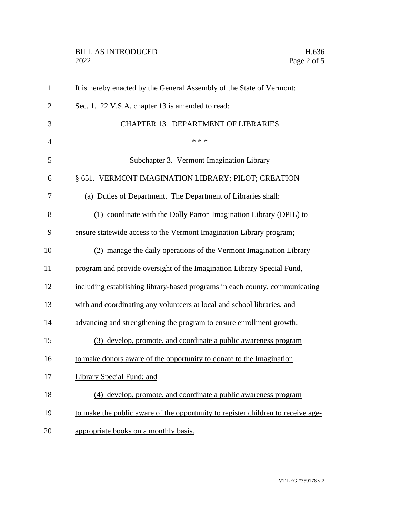## BILL AS INTRODUCED H.636<br>2022 Page 2 of 5

| $\mathbf{1}$   | It is hereby enacted by the General Assembly of the State of Vermont:            |
|----------------|----------------------------------------------------------------------------------|
| $\overline{2}$ | Sec. 1. 22 V.S.A. chapter 13 is amended to read:                                 |
| 3              | <b>CHAPTER 13. DEPARTMENT OF LIBRARIES</b>                                       |
| $\overline{4}$ | * * *                                                                            |
| 5              | Subchapter 3. Vermont Imagination Library                                        |
| 6              | § 651. VERMONT IMAGINATION LIBRARY; PILOT; CREATION                              |
| 7              | (a) Duties of Department. The Department of Libraries shall:                     |
| 8              | (1) coordinate with the Dolly Parton Imagination Library (DPIL) to               |
| 9              | ensure statewide access to the Vermont Imagination Library program;              |
| 10             | manage the daily operations of the Vermont Imagination Library                   |
| 11             | program and provide oversight of the Imagination Library Special Fund,           |
| 12             | including establishing library-based programs in each county, communicating      |
| 13             | with and coordinating any volunteers at local and school libraries, and          |
| 14             | advancing and strengthening the program to ensure enrollment growth;             |
| 15             | (3) develop, promote, and coordinate a public awareness program                  |
| 16             | to make donors aware of the opportunity to donate to the Imagination             |
| 17             | <b>Library Special Fund; and</b>                                                 |
| 18             | (4) develop, promote, and coordinate a public awareness program                  |
| 19             | to make the public aware of the opportunity to register children to receive age- |
| 20             | appropriate books on a monthly basis.                                            |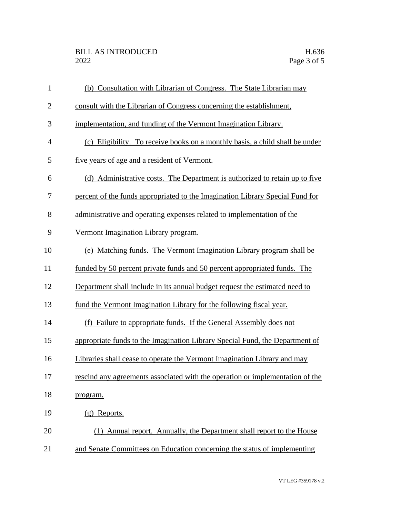| $\mathbf{1}$   | (b) Consultation with Librarian of Congress. The State Librarian may          |
|----------------|-------------------------------------------------------------------------------|
| $\overline{2}$ | consult with the Librarian of Congress concerning the establishment,          |
| 3              | implementation, and funding of the Vermont Imagination Library.               |
| $\overline{4}$ | (c) Eligibility. To receive books on a monthly basis, a child shall be under  |
| 5              | five years of age and a resident of Vermont.                                  |
| 6              | (d) Administrative costs. The Department is authorized to retain up to five   |
| 7              | percent of the funds appropriated to the Imagination Library Special Fund for |
| 8              | administrative and operating expenses related to implementation of the        |
| 9              | Vermont Imagination Library program.                                          |
| 10             | (e) Matching funds. The Vermont Imagination Library program shall be          |
| 11             | funded by 50 percent private funds and 50 percent appropriated funds. The     |
| 12             | Department shall include in its annual budget request the estimated need to   |
| 13             | fund the Vermont Imagination Library for the following fiscal year.           |
| 14             | Failure to appropriate funds. If the General Assembly does not<br>(f)         |
| 15             | appropriate funds to the Imagination Library Special Fund, the Department of  |
| 16             | Libraries shall cease to operate the Vermont Imagination Library and may      |
| 17             | rescind any agreements associated with the operation or implementation of the |
| 18             | program.                                                                      |
| 19             | (g) Reports.                                                                  |
| 20             | (1) Annual report. Annually, the Department shall report to the House         |
| 21             | and Senate Committees on Education concerning the status of implementing      |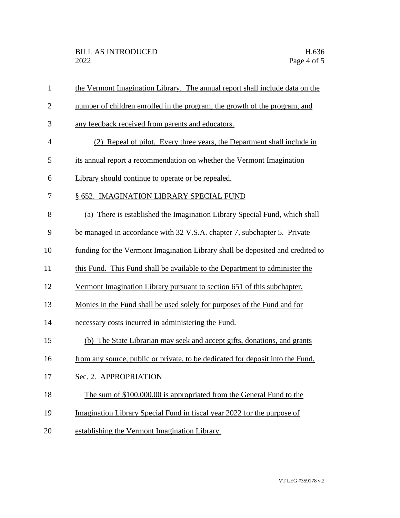| $\mathbf{1}$   | the Vermont Imagination Library. The annual report shall include data on the   |
|----------------|--------------------------------------------------------------------------------|
| $\overline{2}$ | number of children enrolled in the program, the growth of the program, and     |
| 3              | any feedback received from parents and educators.                              |
| 4              | (2) Repeal of pilot. Every three years, the Department shall include in        |
| 5              | its annual report a recommendation on whether the Vermont Imagination          |
| 6              | Library should continue to operate or be repealed.                             |
| 7              | § 652. IMAGINATION LIBRARY SPECIAL FUND                                        |
| 8              | (a) There is established the Imagination Library Special Fund, which shall     |
| 9              | be managed in accordance with 32 V.S.A. chapter 7, subchapter 5. Private       |
| 10             | funding for the Vermont Imagination Library shall be deposited and credited to |
| 11             | this Fund. This Fund shall be available to the Department to administer the    |
| 12             | Vermont Imagination Library pursuant to section 651 of this subchapter.        |
| 13             | Monies in the Fund shall be used solely for purposes of the Fund and for       |
| 14             | necessary costs incurred in administering the Fund.                            |
| 15             | (b) The State Librarian may seek and accept gifts, donations, and grants       |
| 16             | from any source, public or private, to be dedicated for deposit into the Fund. |
| 17             | Sec. 2. APPROPRIATION                                                          |
| 18             | The sum of \$100,000.00 is appropriated from the General Fund to the           |
| 19             | Imagination Library Special Fund in fiscal year 2022 for the purpose of        |
| 20             | establishing the Vermont Imagination Library.                                  |